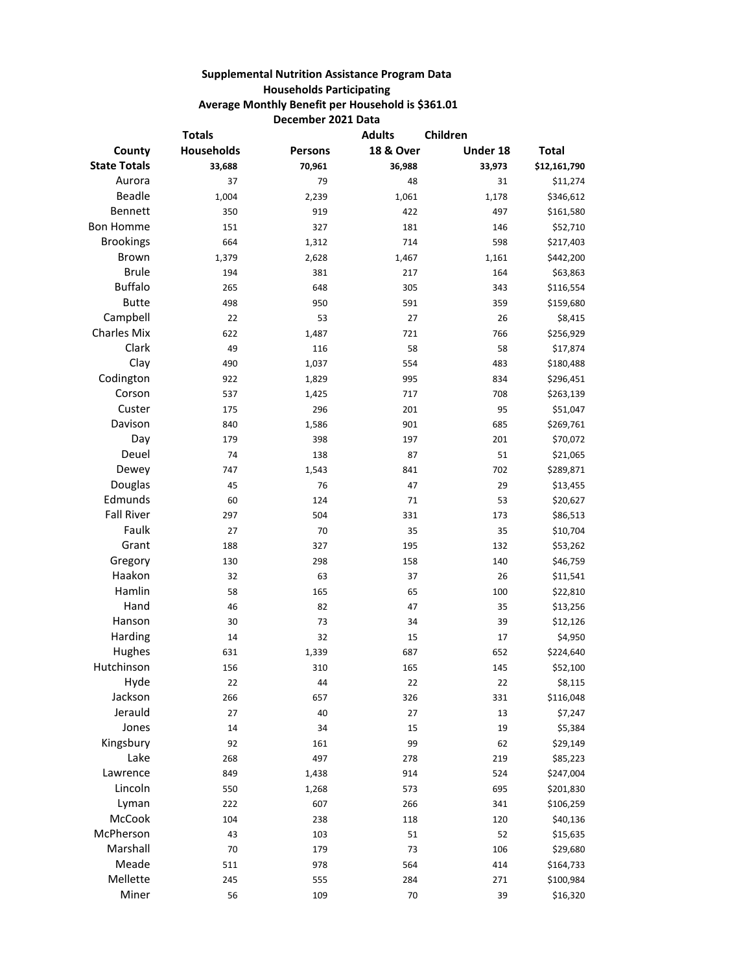## **Supplemental Nutrition Assistance Program Data Households Participating Average Monthly Benefit per Household is \$361.01 December 2021 Data**

| <b>Totals</b>       |                   | <b>Adults</b>  | Children             |          |              |
|---------------------|-------------------|----------------|----------------------|----------|--------------|
| County              | <b>Households</b> | <b>Persons</b> | <b>18 &amp; Over</b> | Under 18 | <b>Total</b> |
| <b>State Totals</b> | 33,688            | 70,961         | 36,988               | 33,973   | \$12,161,790 |
| Aurora              | 37                | 79             | 48                   | 31       | \$11,274     |
| <b>Beadle</b>       | 1,004             | 2,239          | 1,061                | 1,178    | \$346,612    |
| <b>Bennett</b>      | 350               | 919            | 422                  | 497      | \$161,580    |
| <b>Bon Homme</b>    | 151               | 327            | 181                  | 146      | \$52,710     |
| <b>Brookings</b>    | 664               | 1,312          | 714                  | 598      | \$217,403    |
| <b>Brown</b>        | 1,379             | 2,628          | 1,467                | 1,161    | \$442,200    |
| <b>Brule</b>        | 194               | 381            | 217                  | 164      | \$63,863     |
| <b>Buffalo</b>      | 265               | 648            | 305                  | 343      | \$116,554    |
| <b>Butte</b>        | 498               | 950            | 591                  | 359      | \$159,680    |
| Campbell            | 22                | 53             | 27                   | 26       | \$8,415      |
| <b>Charles Mix</b>  | 622               | 1,487          | 721                  | 766      | \$256,929    |
| Clark               | 49                | 116            | 58                   | 58       | \$17,874     |
| Clay                | 490               | 1,037          | 554                  | 483      | \$180,488    |
| Codington           | 922               | 1,829          | 995                  | 834      | \$296,451    |
| Corson              | 537               | 1,425          | 717                  | 708      | \$263,139    |
| Custer              | 175               | 296            | 201                  | 95       | \$51,047     |
| Davison             | 840               | 1,586          | 901                  | 685      | \$269,761    |
| Day                 | 179               | 398            | 197                  | 201      | \$70,072     |
| Deuel               | 74                | 138            | 87                   | 51       | \$21,065     |
| Dewey               | 747               | 1,543          | 841                  | 702      | \$289,871    |
| Douglas             | 45                | 76             | 47                   | 29       | \$13,455     |
| Edmunds             | 60                | 124            | 71                   | 53       | \$20,627     |
| <b>Fall River</b>   | 297               | 504            | 331                  | 173      | \$86,513     |
| Faulk               | 27                | 70             | 35                   | 35       | \$10,704     |
| Grant               | 188               | 327            | 195                  | 132      | \$53,262     |
| Gregory             | 130               | 298            | 158                  | 140      | \$46,759     |
| Haakon              | 32                | 63             | 37                   | 26       | \$11,541     |
| Hamlin              | 58                | 165            | 65                   | 100      | \$22,810     |
| Hand                | 46                | 82             | 47                   | 35       | \$13,256     |
| Hanson              | 30                | 73             | 34                   | 39       | \$12,126     |
| Harding             | 14                | 32             | 15                   | 17       | \$4,950      |
| Hughes              | 631               | 1,339          | 687                  | 652      | \$224,640    |
| Hutchinson          | 156               | 310            | 165                  | 145      | \$52,100     |
| Hyde                | 22                | 44             | 22                   | 22       | \$8,115      |
| Jackson             | 266               | 657            | 326                  | 331      | \$116,048    |
| Jerauld             | 27                | 40             | 27                   | 13       | \$7,247      |
| Jones               | 14                | 34             | 15                   | 19       | \$5,384      |
| Kingsbury           | 92                | 161            | 99                   | 62       | \$29,149     |
| Lake                | 268               | 497            | 278                  | 219      | \$85,223     |
| Lawrence            | 849               | 1,438          | 914                  | 524      | \$247,004    |
| Lincoln             | 550               | 1,268          | 573                  | 695      | \$201,830    |
| Lyman               | 222               | 607            | 266                  | 341      | \$106,259    |
| McCook              | 104               | 238            | 118                  | 120      | \$40,136     |
| McPherson           | 43                | 103            | 51                   | 52       | \$15,635     |
| Marshall            | 70                | 179            | 73                   | 106      | \$29,680     |
| Meade               | 511               | 978            | 564                  | 414      | \$164,733    |
| Mellette            | 245               | 555            | 284                  | 271      | \$100,984    |
| Miner               | 56                | 109            | 70                   | 39       | \$16,320     |